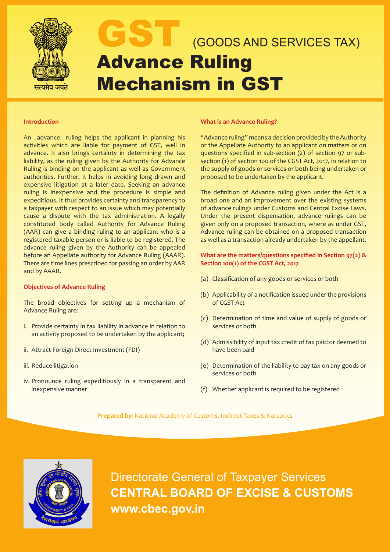

# GOODS AND SERVICES TAX) Advance Ruling Mechanism in GST

### **Introduction**

An advance ruling helps the applicant in planning his activities which are liable for payment of GST, well in advance. It also brings certainty in determining the tax liability, as the ruling given by the Authority for Advance Ruling is binding on the applicant as well as Government authorities. Further, it helps in avoiding long drawn and expensive litigation at a later date. Seeking an advance ruling is inexpensive and the procedure is simple and expeditious. It thus provides certainty and transparency to a taxpayer with respect to an issue which may potentially cause a dispute with the tax administration. A legally constituted body called Authority for Advance Ruling (AAR) can give a binding ruling to an applicant who is a registered taxable person or is liable to be registered. The advance ruling given by the Authority can be appealed before an Appellate authority for Advance Ruling (AAAR). There are time lines prescribed for passing an order by AAR and by AAAR.

### **Objectives of Advance Ruling**

The broad objectives for setting up a mechanism of Advance Ruling are:

- i. Provide certainty in tax liability in advance in relation to an activity proposed to be undertaken by the applicant;
- ii. Attract Foreign Direct Investment (FDI)
- iii. Reduce litigation
- iv. Pronounce ruling expeditiously in a transparent and inexpensive manner

#### **What is an Advance Ruling?**

"Advance ruling" means a decision provided by the Authority or the Appellate Authority to an applicant on matters or on questions specified in sub-section (2) of section 97 or subsection (1) of section 100 of the CGST Act, 2017, in relation to the supply of goods or services or both being undertaken or proposed to be undertaken by the applicant.

The definition of Advance ruling given under the Act is a broad one and an improvement over the existing systems of advance rulings under Customs and Central Excise Laws. Under the present dispensation, advance rulings can be given only on a proposed transaction, where as under GST, Advance ruling can be obtained on a proposed transaction as well as a transaction already undertaken by the appellant.

**What are the matters/questions specified in Section 97(2) & Section 100(1) of the CGST Act, 2017**

- (a) Classification of any goods or services or both
- (b) Applicability of a notification issued under the provisions of CGST Act
- (c) Determination of time and value of supply of goods or services or both
- (d) Admissibility of input tax credit of tax paid or deemed to have been paid
- (e) Determination of the liability to pay tax on any goods or services or both
- (f) Whether applicant is required to be registered

**Prepared by:** National Academy of Customs, Indirect Taxes & Narcotics



Directorate General of Taxpayer Services **CENTRAL BOARD OF EXCISE & CUSTOMS www.cbec.gov.in**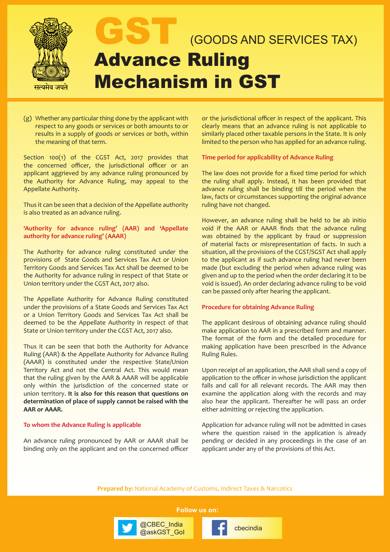

- Mechanism in GST
- (g) Whether any particular thing done by the applicant with respect to any goods or services or both amounts to or results in a supply of goods or services or both, within the meaning of that term.

Section 100(1) of the CGST Act, 2017 provides that the concerned officer, the jurisdictional officer or an applicant aggrieved by any advance ruling pronounced by the Authority for Advance Ruling, may appeal to the Appellate Authority.

Thus it can be seen that a decision of the Appellate authority is also treated as an advance ruling.

## **'Authority for advance ruling' (AAR) and 'Appellate authority for advance ruling' (AAAR)**

The Authority for advance ruling constituted under the provisions of State Goods and Services Tax Act or Union Territory Goods and Services Tax Act shall be deemed to be the Authority for advance ruling in respect of that State or Union territory under the CGST Act, 2017 also.

The Appellate Authority for Advance Ruling constituted under the provisions of a State Goods and Services Tax Act or a Union Territory Goods and Services Tax Act shall be deemed to be the Appellate Authority in respect of that State or Union territory under the CGST Act, 2017 also.

Thus it can be seen that both the Authority for Advance Ruling (AAR) & the Appellate Authority for Advance Ruling (AAAR) is constituted under the respective State/Union Territory Act and not the Central Act. This would mean that the ruling given by the AAR & AAAR will be applicable only within the jurisdiction of the concerned state or union territory. **It is also for this reason that questions on determination of place of supply cannot be raised with the AAR or AAAR.**

## **To whom the Advance Ruling is applicable**

An advance ruling pronounced by AAR or AAAR shall be binding only on the applicant and on the concerned officer or the jurisdictional officer in respect of the applicant. This clearly means that an advance ruling is not applicable to similarly placed other taxable persons in the State. It is only limited to the person who has applied for an advance ruling.

## **Time period for applicability of Advance Ruling**

The law does not provide for a fixed time period for which the ruling shall apply. Instead, it has been provided that advance ruling shall be binding till the period when the law, facts or circumstances supporting the original advance ruling have not changed.

However, an advance ruling shall be held to be ab initio void if the AAR or AAAR finds that the advance ruling was obtained by the applicant by fraud or suppression of material facts or misrepresentation of facts. In such a situation, all the provisions of the CGST/SGST Act shall apply to the applicant as if such advance ruling had never been made (but excluding the period when advance ruling was given and up to the period when the order declaring it to be void is issued). An order declaring advance ruling to be void can be passed only after hearing the applicant.

## **Procedure for obtaining Advance Ruling**

The applicant desirous of obtaining advance ruling should make application to AAR in a prescribed form and manner. The format of the form and the detailed procedure for making application have been prescribed in the Advance Ruling Rules.

Upon receipt of an application, the AAR shall send a copy of application to the officer in whose jurisdiction the applicant falls and call for all relevant records. The AAR may then examine the application along with the records and may also hear the applicant. Thereafter he will pass an order either admitting or rejecting the application.

Application for advance ruling will not be admitted in cases where the question raised in the application is already pending or decided in any proceedings in the case of an applicant under any of the provisions of this Act.

**Prepared by:** National Academy of Customs, Indirect Taxes & Narcotics

**Follow us on:**

@CBEC\_india<br>@askGST\_Gol change\_fractional

@CBEC\_India